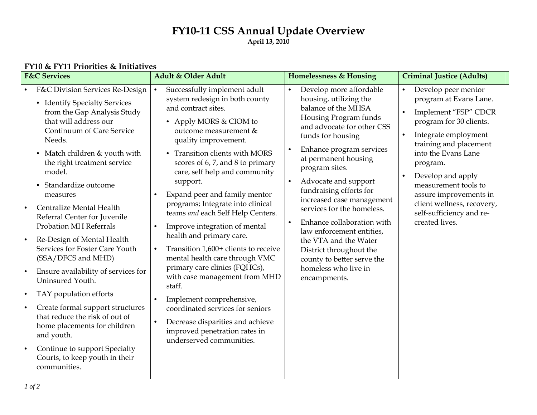# **FY10-11 CSS Annual Update Overview April 13, 2010**

| <b>F&amp;C Services</b>                                                                                                                                                                                                                                                                                                                                                                                                                                                                                                                                                                                                                                                                                                                                                                                                                   | Adult & Older Adult                                                                                                                                                                                                                                                                                                                                                                                                                                                                                                                                                                                                                                                                                                                                                                                                                                              | <b>Homelessness &amp; Housing</b>                                                                                                                                                                                                                                                                                                                                                                                                                                                                                                          | <b>Criminal Justice (Adults)</b>                                                                                                                                                                                                                                                                                                                                                             |
|-------------------------------------------------------------------------------------------------------------------------------------------------------------------------------------------------------------------------------------------------------------------------------------------------------------------------------------------------------------------------------------------------------------------------------------------------------------------------------------------------------------------------------------------------------------------------------------------------------------------------------------------------------------------------------------------------------------------------------------------------------------------------------------------------------------------------------------------|------------------------------------------------------------------------------------------------------------------------------------------------------------------------------------------------------------------------------------------------------------------------------------------------------------------------------------------------------------------------------------------------------------------------------------------------------------------------------------------------------------------------------------------------------------------------------------------------------------------------------------------------------------------------------------------------------------------------------------------------------------------------------------------------------------------------------------------------------------------|--------------------------------------------------------------------------------------------------------------------------------------------------------------------------------------------------------------------------------------------------------------------------------------------------------------------------------------------------------------------------------------------------------------------------------------------------------------------------------------------------------------------------------------------|----------------------------------------------------------------------------------------------------------------------------------------------------------------------------------------------------------------------------------------------------------------------------------------------------------------------------------------------------------------------------------------------|
| F&C Division Services Re-Design<br>• Identify Specialty Services<br>from the Gap Analysis Study<br>that will address our<br>Continuum of Care Service<br>Needs.<br>• Match children & youth with<br>the right treatment service<br>model.<br>Standardize outcome<br>measures<br>Centralize Mental Health<br>$\bullet$<br>Referral Center for Juvenile<br><b>Probation MH Referrals</b><br>Re-Design of Mental Health<br>$\bullet$<br>Services for Foster Care Youth<br>(SSA/DFCS and MHD)<br>Ensure availability of services for<br>$\bullet$<br>Uninsured Youth.<br>TAY population efforts<br>$\bullet$<br>Create formal support structures<br>$\bullet$<br>that reduce the risk of out of<br>home placements for children<br>and youth.<br>Continue to support Specialty<br>$\bullet$<br>Courts, to keep youth in their<br>communities. | Successfully implement adult<br>$\bullet$<br>system redesign in both county<br>and contract sites.<br>• Apply MORS & CIOM to<br>outcome measurement &<br>quality improvement.<br>• Transition clients with MORS<br>scores of 6, 7, and 8 to primary<br>care, self help and community<br>support.<br>Expand peer and family mentor<br>$\bullet$<br>programs; Integrate into clinical<br>teams and each Self Help Centers.<br>Improve integration of mental<br>$\bullet$<br>health and primary care.<br>Transition 1,600+ clients to receive<br>$\bullet$<br>mental health care through VMC<br>primary care clinics (FQHCs),<br>with case management from MHD<br>staff.<br>Implement comprehensive,<br>$\bullet$<br>coordinated services for seniors<br>Decrease disparities and achieve<br>$\bullet$<br>improved penetration rates in<br>underserved communities. | Develop more affordable<br>housing, utilizing the<br>balance of the MHSA<br>Housing Program funds<br>and advocate for other CSS<br>funds for housing<br>Enhance program services<br>at permanent housing<br>program sites.<br>Advocate and support<br>$\bullet$<br>fundraising efforts for<br>increased case management<br>services for the homeless.<br>Enhance collaboration with<br>law enforcement entities,<br>the VTA and the Water<br>District throughout the<br>county to better serve the<br>homeless who live in<br>encampments. | Develop peer mentor<br>$\bullet$<br>program at Evans Lane.<br>Implement "FSP" CDCR<br>$\bullet$<br>program for 30 clients.<br>Integrate employment<br>$\bullet$<br>training and placement<br>into the Evans Lane<br>program.<br>Develop and apply<br>$\bullet$<br>measurement tools to<br>assure improvements in<br>client wellness, recovery,<br>self-sufficiency and re-<br>created lives. |

# **FY10 & FY11 Priorities & Initiatives**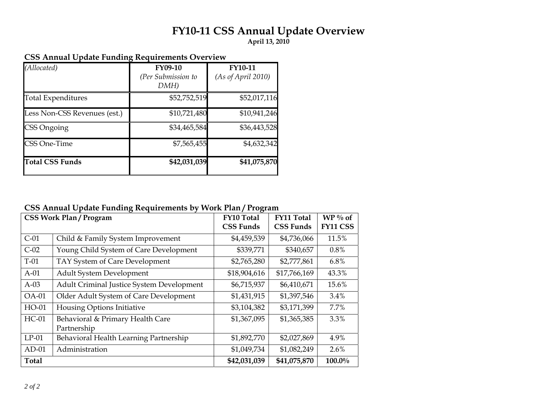# **FY10-11 CSS Annual Update Overview**

**April 13, 2010** 

| (Allocated)                  | <b>FY09-10</b><br>(Per Submission to<br>DMH) | <b>FY10-11</b><br>(As of April 2010) |
|------------------------------|----------------------------------------------|--------------------------------------|
| <b>Total Expenditures</b>    | \$52,752,519                                 | \$52,017,116                         |
| Less Non-CSS Revenues (est.) | \$10,721,480                                 | \$10,941,246                         |
| CSS Ongoing                  | \$34,465,584                                 | \$36,443,528                         |
| <b>CSS One-Time</b>          | \$7,565,455                                  | \$4,632,342                          |
| <b>Total CSS Funds</b>       | \$42,031,039                                 | \$41,075,870                         |

### **CSS Annual Update Funding Requirements Overview**

# **CSS Annual Update Funding Requirements by Work Plan / Program**

| <b>CSS Work Plan / Program</b> |                                                 | <b>FY10 Total</b><br><b>CSS Funds</b> | <b>FY11 Total</b><br><b>CSS Funds</b> | $WP\%$ of<br><b>FY11 CSS</b> |
|--------------------------------|-------------------------------------------------|---------------------------------------|---------------------------------------|------------------------------|
| $C-01$                         | Child & Family System Improvement               | \$4,459,539                           | \$4,736,066                           | 11.5%                        |
| $C-02$                         | Young Child System of Care Development          | \$339,771                             | \$340,657                             | 0.8%                         |
| $T-01$                         | TAY System of Care Development                  | \$2,765,280                           | \$2,777,861                           | 6.8%                         |
| $A-01$                         | <b>Adult System Development</b>                 | \$18,904,616                          | \$17,766,169                          | 43.3%                        |
| $A-03$                         | Adult Criminal Justice System Development       | \$6,715,937                           | \$6,410,671                           | 15.6%                        |
| <b>OA-01</b>                   | Older Adult System of Care Development          | \$1,431,915                           | \$1,397,546                           | 3.4%                         |
| HO-01                          | Housing Options Initiative                      | \$3,104,382                           | \$3,171,399                           | 7.7%                         |
| $HC-01$                        | Behavioral & Primary Health Care<br>Partnership | \$1,367,095                           | \$1,365,385                           | 3.3%                         |
| $LP-01$                        | Behavioral Health Learning Partnership          | \$1,892,770                           | \$2,027,869                           | 4.9%                         |
| $AD-01$                        | Administration                                  | \$1,049,734                           | \$1,082,249                           | 2.6%                         |
| <b>Total</b>                   |                                                 | \$42,031,039                          | \$41,075,870                          | 100.0%                       |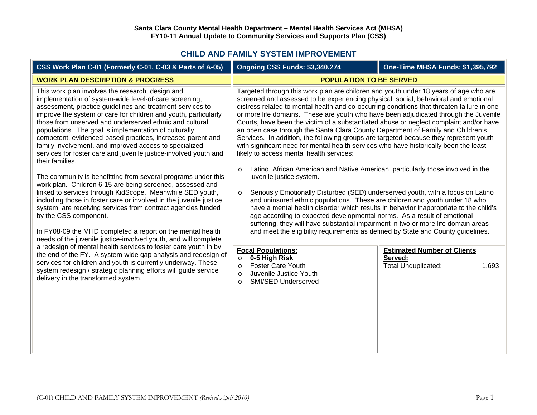### **CHILD AND FAMILY SYSTEM IMPROVEMENT**

| CSS Work Plan C-01 (Formerly C-01, C-03 & Parts of A-05)                                                                                                                                                                                                                                                                                                                                                                                                                                                                                                                                                                                                                                                                                                                                                                                                                                                                                                                                                                                                                 | Ongoing CSS Funds: \$3,340,274                                                                                                                                                                                                                                                                                                                                                                                                                                                                                                                                                                                                                                                                                                                                                                                                                                                                                                                                                                                                                                                                                                                                                                                                                                                                                                                                                                                                   | <b>One-Time MHSA Funds: \$1,395,792</b>                                              |  |
|--------------------------------------------------------------------------------------------------------------------------------------------------------------------------------------------------------------------------------------------------------------------------------------------------------------------------------------------------------------------------------------------------------------------------------------------------------------------------------------------------------------------------------------------------------------------------------------------------------------------------------------------------------------------------------------------------------------------------------------------------------------------------------------------------------------------------------------------------------------------------------------------------------------------------------------------------------------------------------------------------------------------------------------------------------------------------|----------------------------------------------------------------------------------------------------------------------------------------------------------------------------------------------------------------------------------------------------------------------------------------------------------------------------------------------------------------------------------------------------------------------------------------------------------------------------------------------------------------------------------------------------------------------------------------------------------------------------------------------------------------------------------------------------------------------------------------------------------------------------------------------------------------------------------------------------------------------------------------------------------------------------------------------------------------------------------------------------------------------------------------------------------------------------------------------------------------------------------------------------------------------------------------------------------------------------------------------------------------------------------------------------------------------------------------------------------------------------------------------------------------------------------|--------------------------------------------------------------------------------------|--|
| <b>WORK PLAN DESCRIPTION &amp; PROGRESS</b>                                                                                                                                                                                                                                                                                                                                                                                                                                                                                                                                                                                                                                                                                                                                                                                                                                                                                                                                                                                                                              | <b>POPULATION TO BE SERVED</b>                                                                                                                                                                                                                                                                                                                                                                                                                                                                                                                                                                                                                                                                                                                                                                                                                                                                                                                                                                                                                                                                                                                                                                                                                                                                                                                                                                                                   |                                                                                      |  |
| This work plan involves the research, design and<br>implementation of system-wide level-of-care screening,<br>assessment, practice guidelines and treatment services to<br>improve the system of care for children and youth, particularly<br>those from unserved and underserved ethnic and cultural<br>populations. The goal is implementation of culturally<br>competent, evidenced-based practices, increased parent and<br>family involvement, and improved access to specialized<br>services for foster care and juvenile justice-involved youth and<br>their families.<br>The community is benefitting from several programs under this<br>work plan. Children 6-15 are being screened, assessed and<br>linked to services through KidScope. Meanwhile SED youth,<br>including those in foster care or involved in the juvenile justice<br>system, are receiving services from contract agencies funded<br>by the CSS component.<br>In FY08-09 the MHD completed a report on the mental health<br>needs of the juvenile justice-involved youth, and will complete | Targeted through this work plan are children and youth under 18 years of age who are<br>screened and assessed to be experiencing physical, social, behavioral and emotional<br>distress related to mental health and co-occurring conditions that threaten failure in one<br>or more life domains. These are youth who have been adjudicated through the Juvenile<br>Courts, have been the victim of a substantiated abuse or neglect complaint and/or have<br>an open case through the Santa Clara County Department of Family and Children's<br>Services. In addition, the following groups are targeted because they represent youth<br>with significant need for mental health services who have historically been the least<br>likely to access mental health services:<br>Latino, African American and Native American, particularly those involved in the<br>$\circ$<br>juvenile justice system.<br>Seriously Emotionally Disturbed (SED) underserved youth, with a focus on Latino<br>$\circ$<br>and uninsured ethnic populations. These are children and youth under 18 who<br>have a mental health disorder which results in behavior inappropriate to the child's<br>age according to expected developmental norms. As a result of emotional<br>suffering, they will have substantial impairment in two or more life domain areas<br>and meet the eligibility requirements as defined by State and County guidelines. |                                                                                      |  |
| a redesign of mental health services to foster care youth in by<br>the end of the FY. A system-wide gap analysis and redesign of<br>services for children and youth is currently underway. These<br>system redesign / strategic planning efforts will guide service<br>delivery in the transformed system.                                                                                                                                                                                                                                                                                                                                                                                                                                                                                                                                                                                                                                                                                                                                                               | <b>Focal Populations:</b><br>0-5 High Risk<br>$\circ$<br><b>Foster Care Youth</b><br>$\circ$<br>Juvenile Justice Youth<br>$\Omega$<br><b>SMI/SED Underserved</b><br>$\circ$                                                                                                                                                                                                                                                                                                                                                                                                                                                                                                                                                                                                                                                                                                                                                                                                                                                                                                                                                                                                                                                                                                                                                                                                                                                      | <b>Estimated Number of Clients</b><br>Served:<br><b>Total Unduplicated:</b><br>1,693 |  |

 $\overline{\mathsf{L}}$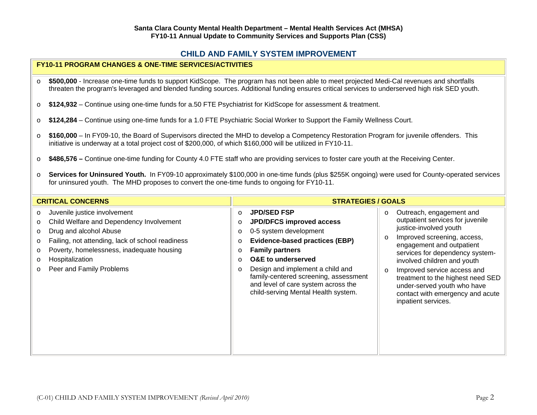### **CHILD AND FAMILY SYSTEM IMPROVEMENT**

### **FY10-11 PROGRAM CHANGES & ONE-TIME SERVICES/ACTIVITIES**

- o **\$500,000** - Increase one-time funds to support KidScope. The program has not been able to meet projected Medi-Cal revenues and shortfalls threaten the program's leveraged and blended funding sources. Additional funding ensures critical services to underserved high risk SED youth.
- o**\$124,932** – Continue using one-time funds for a.50 FTE Psychiatrist for KidScope for assessment & treatment.
- o**\$124,284** – Continue using one-time funds for a 1.0 FTE Psychiatric Social Worker to Support the Family Wellness Court.
- o **\$160,000** – In FY09-10, the Board of Supervisors directed the MHD to develop a Competency Restoration Program for juvenile offenders. This initiative is underway at a total project cost of \$200,000, of which \$160,000 will be utilized in FY10-11.
- o**\$486,576 –** Continue one-time funding for County 4.0 FTE staff who are providing services to foster care youth at the Receiving Center.
- o **Services for Uninsured Youth.** In FY09-10 approximately \$100,000 in one-time funds (plus \$255K ongoing) were used for County-operated services for uninsured youth. The MHD proposes to convert the one-time funds to ongoing for FY10-11.

| <b>CRITICAL CONCERNS</b>                                                                                                                                                                                                                                                                       | <b>STRATEGIES / GOALS</b>                                                                                                                                                                                                                                                                                                                                                                                            |                                                                                                                                                                                                                                                                                                                                                                                                                     |
|------------------------------------------------------------------------------------------------------------------------------------------------------------------------------------------------------------------------------------------------------------------------------------------------|----------------------------------------------------------------------------------------------------------------------------------------------------------------------------------------------------------------------------------------------------------------------------------------------------------------------------------------------------------------------------------------------------------------------|---------------------------------------------------------------------------------------------------------------------------------------------------------------------------------------------------------------------------------------------------------------------------------------------------------------------------------------------------------------------------------------------------------------------|
| Juvenile justice involvement<br>$\circ$<br>Child Welfare and Dependency Involvement<br>$\circ$<br>Drug and alcohol Abuse<br>Failing, not attending, lack of school readiness<br>$\circ$<br>Poverty, homelessness, inadequate housing<br>$\circ$<br>Hospitalization<br>Peer and Family Problems | <b>JPD/SED FSP</b><br>$\circ$<br>JPD/DFCS improved access<br>$\circ$<br>0-5 system development<br>$\circ$<br><b>Evidence-based practices (EBP)</b><br>$\circ$<br><b>Family partners</b><br>$\circ$<br><b>O&amp;E</b> to underserved<br>$\circ$<br>Design and implement a child and<br>$\circ$<br>family-centered screening, assessment<br>and level of care system across the<br>child-serving Mental Health system. | Outreach, engagement and<br>$\circ$<br>outpatient services for juvenile<br>justice-involved youth<br>Improved screening, access,<br>$\circ$<br>engagement and outpatient<br>services for dependency system-<br>involved children and youth<br>Improved service access and<br>$\circ$<br>treatment to the highest need SED<br>under-served youth who have<br>contact with emergency and acute<br>inpatient services. |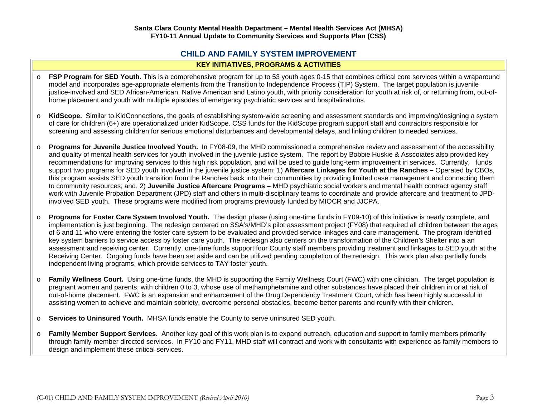# **CHILD AND FAMILY SYSTEM IMPROVEMENT**

### **KEY INITIATIVES, PROGRAMS & ACTIVITIES**

- o**FSP Program for SED Youth.** This is a comprehensive program for up to 53 youth ages 0-15 that combines critical core services within a wraparound model and incorporates age-appropriate elements from the Transition to Independence Process (TIP) System. The target population is juvenile justice-involved and SED African-American, Native American and Latino youth, with priority consideration for youth at risk of, or returning from, out-ofhome placement and youth with multiple episodes of emergency psychiatric services and hospitalizations.
- o **KidScope.** Similar to KidConnections, the goals of establishing system-wide screening and assessment standards and improving/designing a system of care for children (6+) are operationalized under KidScope. CSS funds for the KidScope program support staff and contractors responsible for screening and assessing children for serious emotional disturbances and developmental delays, and linking children to needed services.
- o **Programs for Juvenile Justice Involved Youth.** In FY08-09, the MHD commissioned a comprehensive review and assessment of the accessibility and quality of mental health services for youth involved in the juvenile justice system. The report by Bobbie Huskie & Asscoiates also provided key recommendations for improving services to this high risk population, and will be used to guide long-term improvement in services. Currently, funds support two programs for SED youth involved in the juvenile justice system: 1) **Aftercare Linkages for Youth at the Ranches –** Operated by CBOs, this program assists SED youth transition from the Ranches back into their communities by providing limited case management and connecting them to community resources; and, 2) **Juvenile Justice Aftercare Programs –** MHD psychiatric social workers and mental health contract agency staff work with Juvenile Probation Department (JPD) staff and others in multi-disciplinary teams to coordinate and provide aftercare and treatment to JPDinvolved SED youth. These programs were modified from programs previously funded by MIOCR and JJCPA.
- o **Programs for Foster Care System Involved Youth.** The design phase (using one-time funds in FY09-10) of this initiative is nearly complete, and implementation is just beginning. The redesign centered on SSA's/MHD's pilot assessment project (FY08) that required all children between the ages of 6 and 11 who were entering the foster care system to be evaluated and provided service linkages and care management. The program identified key system barriers to service access by foster care youth. The redesign also centers on the transformation of the Children's Shelter into a an assessment and receiving center. Currently, one-time funds support four County staff members providing treatment and linkages to SED youth at the Receiving Center. Ongoing funds have been set aside and can be utilized pending completion of the redesign. This work plan also partially funds independent living programs, which provide services to TAY foster youth.
- o **Family Wellness Court.** Using one-time funds, the MHD is supporting the Family Wellness Court (FWC) with one clinician. The target population is pregnant women and parents, with children 0 to 3, whose use of methamphetamine and other substances have placed their children in or at risk of out-of-home placement. FWC is an expansion and enhancement of the Drug Dependency Treatment Court, which has been highly successful in assisting women to achieve and maintain sobriety, overcome personal obstacles, become better parents and reunify with their children.
- o**Services to Uninsured Youth.** MHSA funds enable the County to serve uninsured SED youth.
- o **Family Member Support Services.** Another key goal of this work plan is to expand outreach, education and support to family members primarily through family-member directed services. In FY10 and FY11, MHD staff will contract and work with consultants with experience as family members to design and implement these critical services.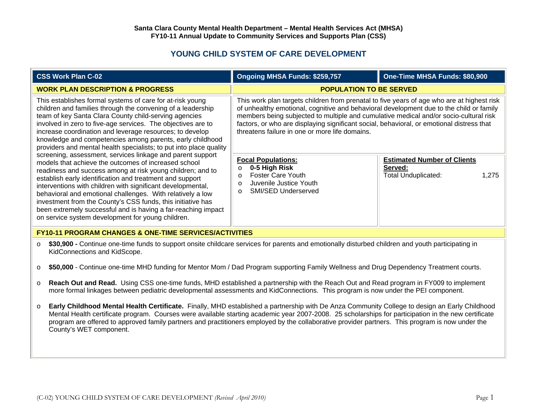# **YOUNG CHILD SYSTEM OF CARE DEVELOPMENT**

|                                                                                                                                                                                                                                                                                                                                                                                                                                                                                                                                                                                                                                                                                                                                                                                                                                                                                                                                                                                                                    | <b>CSS Work Plan C-02</b>                                                                                                                                                                                                                                                                                                                                                                                                                                                            | Ongoing MHSA Funds: \$259,757                                                                                                                                                                                                                                                                                                                                                                                                 | One-Time MHSA Funds: \$80,900                                                        |
|--------------------------------------------------------------------------------------------------------------------------------------------------------------------------------------------------------------------------------------------------------------------------------------------------------------------------------------------------------------------------------------------------------------------------------------------------------------------------------------------------------------------------------------------------------------------------------------------------------------------------------------------------------------------------------------------------------------------------------------------------------------------------------------------------------------------------------------------------------------------------------------------------------------------------------------------------------------------------------------------------------------------|--------------------------------------------------------------------------------------------------------------------------------------------------------------------------------------------------------------------------------------------------------------------------------------------------------------------------------------------------------------------------------------------------------------------------------------------------------------------------------------|-------------------------------------------------------------------------------------------------------------------------------------------------------------------------------------------------------------------------------------------------------------------------------------------------------------------------------------------------------------------------------------------------------------------------------|--------------------------------------------------------------------------------------|
| <b>WORK PLAN DESCRIPTION &amp; PROGRESS</b>                                                                                                                                                                                                                                                                                                                                                                                                                                                                                                                                                                                                                                                                                                                                                                                                                                                                                                                                                                        |                                                                                                                                                                                                                                                                                                                                                                                                                                                                                      | <b>POPULATION TO BE SERVED</b>                                                                                                                                                                                                                                                                                                                                                                                                |                                                                                      |
| This establishes formal systems of care for at-risk young<br>children and families through the convening of a leadership<br>team of key Santa Clara County child-serving agencies<br>involved in zero to five-age services. The objectives are to<br>increase coordination and leverage resources; to develop<br>knowledge and competencies among parents, early childhood<br>providers and mental health specialists; to put into place quality<br>screening, assessment, services linkage and parent support<br>models that achieve the outcomes of increased school<br>readiness and success among at risk young children; and to<br>establish early identification and treatment and support<br>interventions with children with significant developmental,<br>behavioral and emotional challenges. With relatively a low<br>investment from the County's CSS funds, this initiative has<br>been extremely successful and is having a far-reaching impact<br>on service system development for young children. |                                                                                                                                                                                                                                                                                                                                                                                                                                                                                      | This work plan targets children from prenatal to five years of age who are at highest risk<br>of unhealthy emotional, cognitive and behavioral development due to the child or family<br>members being subjected to multiple and cumulative medical and/or socio-cultural risk<br>factors, or who are displaying significant social, behavioral, or emotional distress that<br>threatens failure in one or more life domains. |                                                                                      |
|                                                                                                                                                                                                                                                                                                                                                                                                                                                                                                                                                                                                                                                                                                                                                                                                                                                                                                                                                                                                                    |                                                                                                                                                                                                                                                                                                                                                                                                                                                                                      | <b>Focal Populations:</b><br>0-5 High Risk<br>$\circ$<br><b>Foster Care Youth</b><br>$\Omega$<br>Juvenile Justice Youth<br>$\circ$<br><b>SMI/SED Underserved</b><br>$\Omega$                                                                                                                                                                                                                                                  | <b>Estimated Number of Clients</b><br>Served:<br><b>Total Unduplicated:</b><br>1,275 |
|                                                                                                                                                                                                                                                                                                                                                                                                                                                                                                                                                                                                                                                                                                                                                                                                                                                                                                                                                                                                                    | <b>FY10-11 PROGRAM CHANGES &amp; ONE-TIME SERVICES/ACTIVITIES</b>                                                                                                                                                                                                                                                                                                                                                                                                                    |                                                                                                                                                                                                                                                                                                                                                                                                                               |                                                                                      |
| $\circ$                                                                                                                                                                                                                                                                                                                                                                                                                                                                                                                                                                                                                                                                                                                                                                                                                                                                                                                                                                                                            | \$30,900 - Continue one-time funds to support onsite childcare services for parents and emotionally disturbed children and youth participating in<br>KidConnections and KidScope.                                                                                                                                                                                                                                                                                                    |                                                                                                                                                                                                                                                                                                                                                                                                                               |                                                                                      |
| $\circ$                                                                                                                                                                                                                                                                                                                                                                                                                                                                                                                                                                                                                                                                                                                                                                                                                                                                                                                                                                                                            | \$50,000 - Continue one-time MHD funding for Mentor Mom / Dad Program supporting Family Wellness and Drug Dependency Treatment courts.                                                                                                                                                                                                                                                                                                                                               |                                                                                                                                                                                                                                                                                                                                                                                                                               |                                                                                      |
| O                                                                                                                                                                                                                                                                                                                                                                                                                                                                                                                                                                                                                                                                                                                                                                                                                                                                                                                                                                                                                  | Reach Out and Read. Using CSS one-time funds, MHD established a partnership with the Reach Out and Read program in FY009 to implement<br>more formal linkages between pediatric developmental assessments and KidConnections. This program is now under the PEI component.                                                                                                                                                                                                           |                                                                                                                                                                                                                                                                                                                                                                                                                               |                                                                                      |
| $\circ$                                                                                                                                                                                                                                                                                                                                                                                                                                                                                                                                                                                                                                                                                                                                                                                                                                                                                                                                                                                                            | Early Childhood Mental Health Certificate. Finally, MHD established a partnership with De Anza Community College to design an Early Childhood<br>Mental Health certificate program. Courses were available starting academic year 2007-2008. 25 scholarships for participation in the new certificate<br>program are offered to approved family partners and practitioners employed by the collaborative provider partners. This program is now under the<br>County's WET component. |                                                                                                                                                                                                                                                                                                                                                                                                                               |                                                                                      |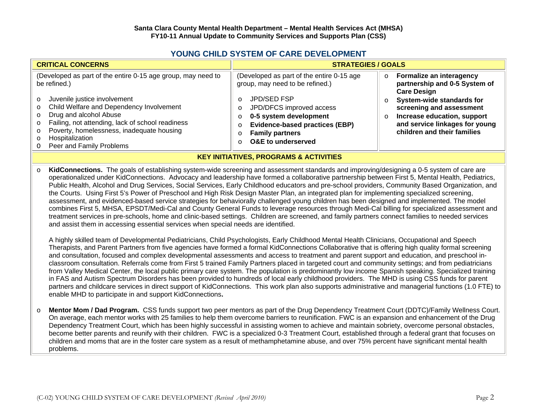### **YOUNG CHILD SYSTEM OF CARE DEVELOPMENT**

| <b>CRITICAL CONCERNS</b>                                                                                                                                                                                                                                                                                                                                  | <b>STRATEGIES / GOALS</b>                                                                                                                                                                                                                                            |                                                                                                                                                                                                                                                                         |  |
|-----------------------------------------------------------------------------------------------------------------------------------------------------------------------------------------------------------------------------------------------------------------------------------------------------------------------------------------------------------|----------------------------------------------------------------------------------------------------------------------------------------------------------------------------------------------------------------------------------------------------------------------|-------------------------------------------------------------------------------------------------------------------------------------------------------------------------------------------------------------------------------------------------------------------------|--|
| (Developed as part of the entire 0-15 age group, may need to<br>be refined.)<br>Juvenile justice involvement<br>$\circ$<br>o Child Welfare and Dependency Involvement<br>o Drug and alcohol Abuse<br>o Failing, not attending, lack of school readiness<br>o Poverty, homelessness, inadequate housing<br>o Hospitalization<br>O Peer and Family Problems | (Developed as part of the entire 0-15 age<br>group, may need to be refined.)<br>JPD/SED FSP<br>∩<br>JPD/DFCS improved access<br>O<br>0-5 system development<br><b>Evidence-based practices (EBP)</b><br>O<br><b>Family partners</b><br><b>O&amp;E</b> to underserved | o Formalize an interagency<br>partnership and 0-5 System of<br><b>Care Design</b><br><b>System-wide standards for</b><br>$\circ$<br>screening and assessment<br>Increase education, support<br>$\circ$<br>and service linkages for young<br>children and their families |  |
|                                                                                                                                                                                                                                                                                                                                                           |                                                                                                                                                                                                                                                                      |                                                                                                                                                                                                                                                                         |  |

#### **KEY INITIATIVES, PROGRAMS & ACTIVITIES**

o **KidConnections.** The goals of establishing system-wide screening and assessment standards and improving/designing a 0-5 system of care are operationalized under KidConnections. Advocacy and leadership have formed a collaborative partnership between First 5, Mental Health, Pediatrics, Public Health, Alcohol and Drug Services, Social Services, Early Childhood educators and pre-school providers, Community Based Organization, and the Courts. Using First 5's Power of Preschool and High Risk Design Master Plan, an integrated plan for implementing specialized screening, assessment, and evidenced-based service strategies for behaviorally challenged young children has been designed and implemented. The model combines First 5, MHSA, EPSDT/Medi-Cal and County General Funds to leverage resources through Medi-Cal billing for specialized assessment and treatment services in pre-schools, home and clinic-based settings. Children are screened, and family partners connect families to needed services and assist them in accessing essential services when special needs are identified.

A highly skilled team of Developmental Pediatricians, Child Psychologists, Early Childhood Mental Health Clinicians, Occupational and Speech Therapists, and Parent Partners from five agencies have formed a formal KidConnections Collaborative that is offering high quality formal screening and consultation, focused and complex developmental assessments and access to treatment and parent support and education, and preschool inclassroom consultation. Referrals come from First 5 trained Family Partners placed in targeted court and community settings; and from pediatricians from Valley Medical Center, the local public primary care system. The population is predominantly low income Spanish speaking. Specialized training in FAS and Autism Spectrum Disorders has been provided to hundreds of local early childhood providers. The MHD is using CSS funds for parent partners and childcare services in direct support of KidConnections. This work plan also supports administrative and managerial functions (1.0 FTE) to enable MHD to participate in and support KidConnections**.**

o **Mentor Mom / Dad Program.** CSS funds support two peer mentors as part of the Drug Dependency Treatment Court (DDTC)/Family Wellness Court. On average, each mentor works with 25 families to help them overcome barriers to reunification. FWC is an expansion and enhancement of the Drug Dependency Treatment Court, which has been highly successful in assisting women to achieve and maintain sobriety, overcome personal obstacles, become better parents and reunify with their children. FWC is a specialized 0-3 Treatment Court, established through a federal grant that focuses on children and moms that are in the foster care system as a result of methamphetamine abuse, and over 75% percent have significant mental health problems.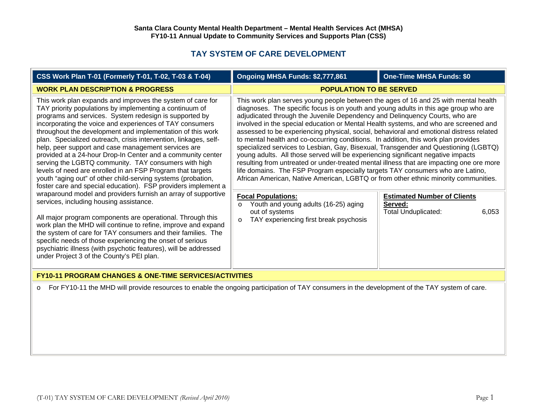# **TAY SYSTEM OF CARE DEVELOPMENT**

| CSS Work Plan T-01 (Formerly T-01, T-02, T-03 & T-04)                                                                                                                                                                                                                                                                                                                                                                                                                                                                                                                                                                                                                                                                                                                                                                                                                  | Ongoing MHSA Funds: \$2,777,861                                                                                                                                                                                                                                                                                                                                                                                                                                                                                                                                                                                                                                                                                                                                                                                                                                                                                                                                                                                  | <b>One-Time MHSA Funds: \$0</b>               |  |
|------------------------------------------------------------------------------------------------------------------------------------------------------------------------------------------------------------------------------------------------------------------------------------------------------------------------------------------------------------------------------------------------------------------------------------------------------------------------------------------------------------------------------------------------------------------------------------------------------------------------------------------------------------------------------------------------------------------------------------------------------------------------------------------------------------------------------------------------------------------------|------------------------------------------------------------------------------------------------------------------------------------------------------------------------------------------------------------------------------------------------------------------------------------------------------------------------------------------------------------------------------------------------------------------------------------------------------------------------------------------------------------------------------------------------------------------------------------------------------------------------------------------------------------------------------------------------------------------------------------------------------------------------------------------------------------------------------------------------------------------------------------------------------------------------------------------------------------------------------------------------------------------|-----------------------------------------------|--|
| <b>WORK PLAN DESCRIPTION &amp; PROGRESS</b>                                                                                                                                                                                                                                                                                                                                                                                                                                                                                                                                                                                                                                                                                                                                                                                                                            | <b>POPULATION TO BE SERVED</b>                                                                                                                                                                                                                                                                                                                                                                                                                                                                                                                                                                                                                                                                                                                                                                                                                                                                                                                                                                                   |                                               |  |
| This work plan expands and improves the system of care for<br>TAY priority populations by implementing a continuum of<br>programs and services. System redesign is supported by<br>incorporating the voice and experiences of TAY consumers<br>throughout the development and implementation of this work<br>plan. Specialized outreach, crisis intervention, linkages, self-<br>help, peer support and case management services are<br>provided at a 24-hour Drop-In Center and a community center<br>serving the LGBTQ community. TAY consumers with high<br>levels of need are enrolled in an FSP Program that targets<br>youth "aging out" of other child-serving systems (probation,<br>foster care and special education). FSP providers implement a<br>wraparound model and providers furnish an array of supportive<br>services, including housing assistance. | This work plan serves young people between the ages of 16 and 25 with mental health<br>diagnoses. The specific focus is on youth and young adults in this age group who are<br>adjudicated through the Juvenile Dependency and Delinguency Courts, who are<br>involved in the special education or Mental Health systems, and who are screened and<br>assessed to be experiencing physical, social, behavioral and emotional distress related<br>to mental health and co-occurring conditions. In addition, this work plan provides<br>specialized services to Lesbian, Gay, Bisexual, Transgender and Questioning (LGBTQ)<br>young adults. All those served will be experiencing significant negative impacts<br>resulting from untreated or under-treated mental illness that are impacting one ore more<br>life domains. The FSP Program especially targets TAY consumers who are Latino,<br>African American, Native American, LGBTQ or from other ethnic minority communities.<br><b>Focal Populations:</b> | <b>Estimated Number of Clients</b><br>Served: |  |
| All major program components are operational. Through this<br>work plan the MHD will continue to refine, improve and expand<br>the system of care for TAY consumers and their families. The<br>specific needs of those experiencing the onset of serious<br>psychiatric illness (with psychotic features), will be addressed<br>under Project 3 of the County's PEI plan.                                                                                                                                                                                                                                                                                                                                                                                                                                                                                              | Youth and young adults (16-25) aging<br>$\circ$<br>out of systems<br>TAY experiencing first break psychosis<br>$\Omega$                                                                                                                                                                                                                                                                                                                                                                                                                                                                                                                                                                                                                                                                                                                                                                                                                                                                                          | <b>Total Unduplicated:</b><br>6,053           |  |
| <b>FY10-11 PROGRAM CHANGES &amp; ONE-TIME SERVICES/ACTIVITIES</b>                                                                                                                                                                                                                                                                                                                                                                                                                                                                                                                                                                                                                                                                                                                                                                                                      |                                                                                                                                                                                                                                                                                                                                                                                                                                                                                                                                                                                                                                                                                                                                                                                                                                                                                                                                                                                                                  |                                               |  |
| For FY10-11 the MHD will provide resources to enable the ongoing participation of TAY consumers in the development of the TAY system of care.<br>$\circ$                                                                                                                                                                                                                                                                                                                                                                                                                                                                                                                                                                                                                                                                                                               |                                                                                                                                                                                                                                                                                                                                                                                                                                                                                                                                                                                                                                                                                                                                                                                                                                                                                                                                                                                                                  |                                               |  |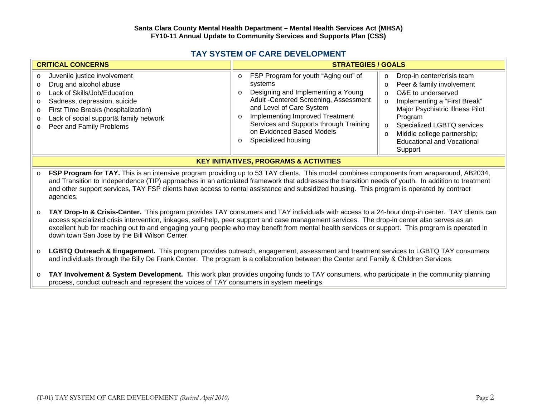|  | <b>TAY SYSTEM OF CARE DEVELOPMENT</b> |
|--|---------------------------------------|
|--|---------------------------------------|

| <b>CRITICAL CONCERNS</b>                                                                                                                                                                                                                                                                          | <b>STRATEGIES / GOALS</b>                                                                                                                                                                                                                                                                                                                                                                                                                                                                                                                                                                                                                                                              |  |
|---------------------------------------------------------------------------------------------------------------------------------------------------------------------------------------------------------------------------------------------------------------------------------------------------|----------------------------------------------------------------------------------------------------------------------------------------------------------------------------------------------------------------------------------------------------------------------------------------------------------------------------------------------------------------------------------------------------------------------------------------------------------------------------------------------------------------------------------------------------------------------------------------------------------------------------------------------------------------------------------------|--|
| Juvenile justice involvement<br>Drug and alcohol abuse<br>Lack of Skills/Job/Education<br>$\overline{O}$<br>Sadness, depression, suicide<br>$\circ$<br>First Time Breaks (hospitalization)<br>$\circ$<br>Lack of social support& family network<br>$\circ$<br>Peer and Family Problems<br>$\circ$ | FSP Program for youth "Aging out" of<br>Drop-in center/crisis team<br>$\circ$<br>$\circ$<br>Peer & family involvement<br>systems<br>$\circ$<br>Designing and Implementing a Young<br>O&E to underserved<br>$\circ$<br>$\circ$<br>Adult - Centered Screening, Assessment<br>Implementing a "First Break"<br>$\circ$<br>and Level of Care System<br>Major Psychiatric Illness Pilot<br>Implementing Improved Treatment<br>Program<br>$\circ$<br>Services and Supports through Training<br>Specialized LGBTQ services<br>$\circ$<br>on Evidenced Based Models<br>Middle college partnership;<br>$\circ$<br>Specialized housing<br><b>Educational and Vocational</b><br>$\circ$<br>Support |  |

#### **KEY INITIATIVES, PROGRAMS & ACTIVITIES**

- o **FSP Program for TAY.** This is an intensive program providing up to 53 TAY clients. This model combines components from wraparound, AB2034, and Transition to Independence (TIP) approaches in an articulated framework that addresses the transition needs of youth. In addition to treatment and other support services, TAY FSP clients have access to rental assistance and subsidized housing. This program is operated by contract agencies.
- o **TAY Drop-In & Crisis-Center.** This program provides TAY consumers and TAY individuals with access to a 24-hour drop-in center. TAY clients can access specialized crisis intervention, linkages, self-help, peer support and case management services. The drop-in center also serves as an excellent hub for reaching out to and engaging young people who may benefit from mental health services or support. This program is operated in down town San Jose by the Bill Wilson Center.
- o **LGBTQ Outreach & Engagement.** This program provides outreach, engagement, assessment and treatment services to LGBTQ TAY consumers and individuals through the Billy De Frank Center. The program is a collaboration between the Center and Family & Children Services.
- o **TAY Involvement & System Development.** This work plan provides ongoing funds to TAY consumers, who participate in the community planning process, conduct outreach and represent the voices of TAY consumers in system meetings.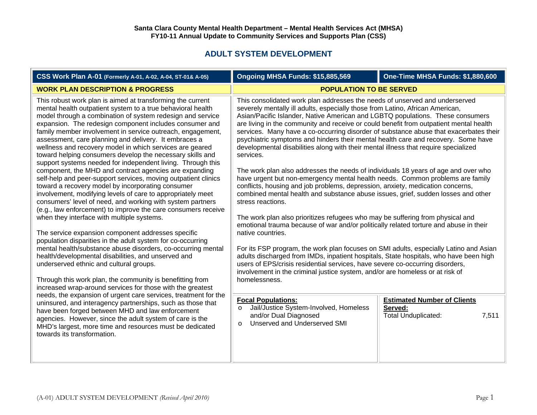| CSS Work Plan A-01 (Formerly A-01, A-02, A-04, ST-01& A-05)                                                                                                                                                                                                                                                                                                                                                                                                                                                                                                                                                                                                                                                                                                                                                                                                                                                                                                                                                                                                                                                                                                                                                                                                                           | Ongoing MHSA Funds: \$15,885,569                                                                                                                                                                                                                                                                                                                                                                                                                                                                                                                                                                                                                                                                                                                                                                                                                                                                                                                                                                                                                                                                                                                                                                                                                                                                                                                                                                                                                                                                                                                  | <b>One-Time MHSA Funds: \$1,880,600</b>                                              |  |
|---------------------------------------------------------------------------------------------------------------------------------------------------------------------------------------------------------------------------------------------------------------------------------------------------------------------------------------------------------------------------------------------------------------------------------------------------------------------------------------------------------------------------------------------------------------------------------------------------------------------------------------------------------------------------------------------------------------------------------------------------------------------------------------------------------------------------------------------------------------------------------------------------------------------------------------------------------------------------------------------------------------------------------------------------------------------------------------------------------------------------------------------------------------------------------------------------------------------------------------------------------------------------------------|---------------------------------------------------------------------------------------------------------------------------------------------------------------------------------------------------------------------------------------------------------------------------------------------------------------------------------------------------------------------------------------------------------------------------------------------------------------------------------------------------------------------------------------------------------------------------------------------------------------------------------------------------------------------------------------------------------------------------------------------------------------------------------------------------------------------------------------------------------------------------------------------------------------------------------------------------------------------------------------------------------------------------------------------------------------------------------------------------------------------------------------------------------------------------------------------------------------------------------------------------------------------------------------------------------------------------------------------------------------------------------------------------------------------------------------------------------------------------------------------------------------------------------------------------|--------------------------------------------------------------------------------------|--|
| <b>WORK PLAN DESCRIPTION &amp; PROGRESS</b>                                                                                                                                                                                                                                                                                                                                                                                                                                                                                                                                                                                                                                                                                                                                                                                                                                                                                                                                                                                                                                                                                                                                                                                                                                           | <b>POPULATION TO BE SERVED</b>                                                                                                                                                                                                                                                                                                                                                                                                                                                                                                                                                                                                                                                                                                                                                                                                                                                                                                                                                                                                                                                                                                                                                                                                                                                                                                                                                                                                                                                                                                                    |                                                                                      |  |
| This robust work plan is aimed at transforming the current<br>mental health outpatient system to a true behavioral health<br>model through a combination of system redesign and service<br>expansion. The redesign component includes consumer and<br>family member involvement in service outreach, engagement,<br>assessment, care planning and delivery. It embraces a<br>wellness and recovery model in which services are geared<br>toward helping consumers develop the necessary skills and<br>support systems needed for independent living. Through this<br>component, the MHD and contract agencies are expanding<br>self-help and peer-support services, moving outpatient clinics<br>toward a recovery model by incorporating consumer<br>involvement, modifying levels of care to appropriately meet<br>consumers' level of need, and working with system partners<br>(e.g., law enforcement) to improve the care consumers receive<br>when they interface with multiple systems.<br>The service expansion component addresses specific<br>population disparities in the adult system for co-occurring<br>mental health/substance abuse disorders, co-occurring mental<br>health/developmental disabilities, and unserved and<br>underserved ethnic and cultural groups. | This consolidated work plan addresses the needs of unserved and underserved<br>severely mentally ill adults, especially those from Latino, African American,<br>Asian/Pacific Islander, Native American and LGBTQ populations. These consumers<br>are living in the community and receive or could benefit from outpatient mental health<br>services. Many have a co-occurring disorder of substance abuse that exacerbates their<br>psychiatric symptoms and hinders their mental health care and recovery. Some have<br>developmental disabilities along with their mental illness that require specialized<br>services.<br>The work plan also addresses the needs of individuals 18 years of age and over who<br>have urgent but non-emergency mental health needs. Common problems are family<br>conflicts, housing and job problems, depression, anxiety, medication concerns,<br>combined mental health and substance abuse issues, grief, sudden losses and other<br>stress reactions.<br>The work plan also prioritizes refugees who may be suffering from physical and<br>emotional trauma because of war and/or politically related torture and abuse in their<br>native countries.<br>For its FSP program, the work plan focuses on SMI adults, especially Latino and Asian<br>adults discharged from IMDs, inpatient hospitals, State hospitals, who have been high<br>users of EPS/crisis residential services, have severe co-occurring disorders,<br>involvement in the criminal justice system, and/or are homeless or at risk of |                                                                                      |  |
| Through this work plan, the community is benefitting from<br>increased wrap-around services for those with the greatest                                                                                                                                                                                                                                                                                                                                                                                                                                                                                                                                                                                                                                                                                                                                                                                                                                                                                                                                                                                                                                                                                                                                                               | homelessness.                                                                                                                                                                                                                                                                                                                                                                                                                                                                                                                                                                                                                                                                                                                                                                                                                                                                                                                                                                                                                                                                                                                                                                                                                                                                                                                                                                                                                                                                                                                                     |                                                                                      |  |
| needs, the expansion of urgent care services, treatment for the<br>uninsured, and interagency partnerships, such as those that<br>have been forged between MHD and law enforcement<br>agencies. However, since the adult system of care is the<br>MHD's largest, more time and resources must be dedicated<br>towards its transformation.                                                                                                                                                                                                                                                                                                                                                                                                                                                                                                                                                                                                                                                                                                                                                                                                                                                                                                                                             | <b>Focal Populations:</b><br>Jail/Justice System-Involved, Homeless<br>$\circ$<br>and/or Dual Diagnosed<br>Unserved and Underserved SMI<br>$\Omega$                                                                                                                                                                                                                                                                                                                                                                                                                                                                                                                                                                                                                                                                                                                                                                                                                                                                                                                                                                                                                                                                                                                                                                                                                                                                                                                                                                                               | <b>Estimated Number of Clients</b><br>Served:<br><b>Total Unduplicated:</b><br>7,511 |  |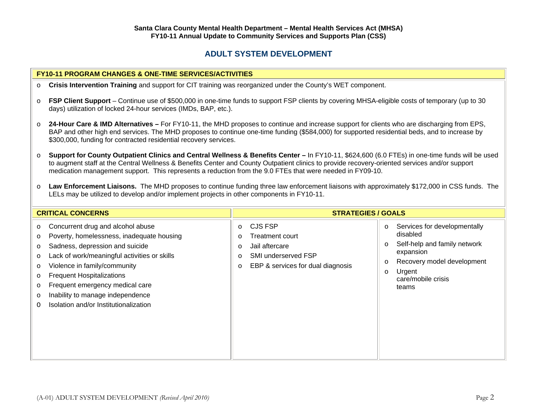FSP Client Support – Continue use of \$500,000 in one-time funds to support FSP clients by covering MHSA-eligible costs of temporary (up to 30

**Crisis Intervention Training** and support for CIT training was reorganized under the County's WET component.

#### **24-Hour Care & IMD Alternatives –** For FY10-11, the MHD proposes to continue and increase support for clients who are discharging from EPS, BAP and other high end services. The MHD proposes to continue one-time funding (\$584,000) for supported residential beds, and to increase by \$300,000, funding for contracted residential recovery services. o **Support for County Outpatient Clinics and Central Wellness & Benefits Center –** In FY10-11, \$624,600 (6.0 FTEs) in one-time funds will be used to augment staff at the Central Wellness & Benefits Center and County Outpatient clinics to provide recovery-oriented services and/or support medication management support. This represents a reduction from the 9.0 FTEs that were needed in FY09-10. o **Law Enforcement Liaisons.** The MHD proposes to continue funding three law enforcement liaisons with approximately \$172,000 in CSS funds. The LELs may be utilized to develop and/or implement projects in other components in FY10-11. **CRITICAL CONCERNS STRATEGIES / GOALS** <sup>o</sup> Concurrent drug and alcohol abuse <sup>o</sup> Poverty, homelessness, inadequate housing <sup>o</sup> Sadness, depression and suicide <sup>o</sup> Lack of work/meaningful activities or skills <sup>o</sup> Violence in family/community <sup>o</sup> Frequent Hospitalizations <sup>o</sup> Frequent emergency medical care <sup>o</sup> Inability to manage independence O Isolation and/or Institutionalizationo CJS FSP o Treatment court o Jail aftercare o SMI underserved FSP <sup>o</sup> EBP & services for dual diagnosis <sup>o</sup> Services for developmentally disabled <sup>o</sup> Self-help and family network expansion <sup>o</sup> Recovery model development <sup>o</sup> Urgent care/mobile crisis teams

**FY10-11 PROGRAM CHANGES & ONE-TIME SERVICES/ACTIVITIES**

days) utilization of locked 24-hour services (IMDs, BAP, etc.).

o

o

o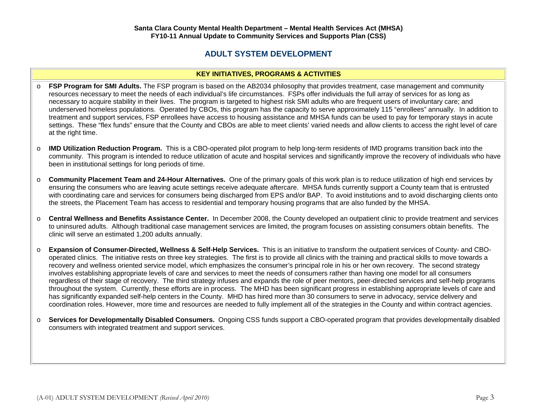### **KEY INITIATIVES, PROGRAMS & ACTIVITIES**

- o **FSP Program for SMI Adults.** The FSP program is based on the AB2034 philosophy that provides treatment, case management and community resources necessary to meet the needs of each individual's life circumstances. FSPs offer individuals the full array of services for as long as necessary to acquire stability in their lives. The program is targeted to highest risk SMI adults who are frequent users of involuntary care; and underserved homeless populations. Operated by CBOs, this program has the capacity to serve approximately 115 "enrollees" annually. In addition to treatment and support services, FSP enrollees have access to housing assistance and MHSA funds can be used to pay for temporary stays in acute settings. These "flex funds" ensure that the County and CBOs are able to meet clients' varied needs and allow clients to access the right level of care at the right time.
- o **IMD Utilization Reduction Program.** This is a CBO-operated pilot program to help long-term residents of IMD programs transition back into the community. This program is intended to reduce utilization of acute and hospital services and significantly improve the recovery of individuals who have been in institutional settings for long periods of time.
- o **Community Placement Team and 24-Hour Alternatives.** One of the primary goals of this work plan is to reduce utilization of high end services by ensuring the consumers who are leaving acute settings receive adequate aftercare. MHSA funds currently support a County team that is entrusted with coordinating care and services for consumers being discharged from EPS and/or BAP. To avoid institutions and to avoid discharging clients onto the streets, the Placement Team has access to residential and temporary housing programs that are also funded by the MHSA.
- o **Central Wellness and Benefits Assistance Center.** In December 2008, the County developed an outpatient clinic to provide treatment and services to uninsured adults. Although traditional case management services are limited, the program focuses on assisting consumers obtain benefits. The clinic will serve an estimated 1,200 adults annually.
- o **Expansion of Consumer-Directed, Wellness & Self-Help Services.** This is an initiative to transform the outpatient services of County- and CBOoperated clinics. The initiative rests on three key strategies. The first is to provide all clinics with the training and practical skills to move towards a recovery and wellness oriented service model, which emphasizes the consumer's principal role in his or her own recovery. The second strategy involves establishing appropriate levels of care and services to meet the needs of consumers rather than having one model for all consumers regardless of their stage of recovery. The third strategy infuses and expands the role of peer mentors, peer-directed services and self-help programs throughout the system. Currently, these efforts are in process. The MHD has been significant progress in establishing appropriate levels of care and has significantly expanded self-help centers in the County. MHD has hired more than 30 consumers to serve in advocacy, service delivery and coordination roles. However, more time and resources are needed to fully implement all of the strategies in the County and within contract agencies.
- o **Services for Developmentally Disabled Consumers.** Ongoing CSS funds support a CBO-operated program that provides developmentally disabled consumers with integrated treatment and support services.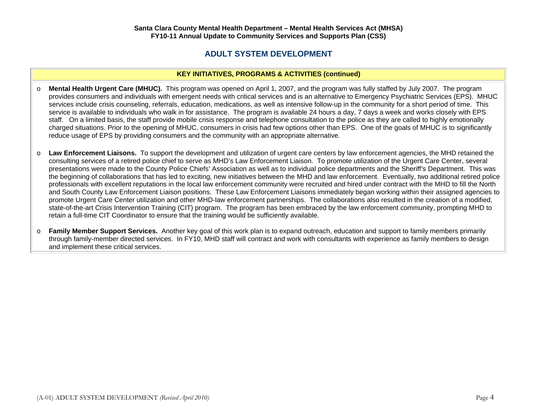### **KEY INITIATIVES, PROGRAMS & ACTIVITIES (continued)**

- o **Mental Health Urgent Care (MHUC).** This program was opened on April 1, 2007, and the program was fully staffed by July 2007. The program provides consumers and individuals with emergent needs with critical services and is an alternative to Emergency Psychiatric Services (EPS). MHUC services include crisis counseling, referrals, education, medications, as well as intensive follow-up in the community for a short period of time. This service is available to individuals who walk in for assistance. The program is available 24 hours a day, 7 days a week and works closely with EPS staff. On a limited basis, the staff provide mobile crisis response and telephone consultation to the police as they are called to highly emotionally charged situations. Prior to the opening of MHUC, consumers in crisis had few options other than EPS. One of the goals of MHUC is to significantly reduce usage of EPS by providing consumers and the community with an appropriate alternative.
- o **Law Enforcement Liaisons.** To support the development and utilization of urgent care centers by law enforcement agencies, the MHD retained the consulting services of a retired police chief to serve as MHD's Law Enforcement Liaison. To promote utilization of the Urgent Care Center, several presentations were made to the County Police Chiefs' Association as well as to individual police departments and the Sheriff's Department. This was the beginning of collaborations that has led to exciting, new initiatives between the MHD and law enforcement. Eventually, two additional retired police professionals with excellent reputations in the local law enforcement community were recruited and hired under contract with the MHD to fill the North and South County Law Enforcement Liaison positions. These Law Enforcement Liaisons immediately began working within their assigned agencies to promote Urgent Care Center utilization and other MHD-law enforcement partnerships. The collaborations also resulted in the creation of a modified, state-of-the-art Crisis Intervention Training (CIT) program. The program has been embraced by the law enforcement community, prompting MHD to retain a full-time CIT Coordinator to ensure that the training would be sufficiently available.
- o **Family Member Support Services.** Another key goal of this work plan is to expand outreach, education and support to family members primarily through family-member directed services. In FY10, MHD staff will contract and work with consultants with experience as family members to design and implement these critical services.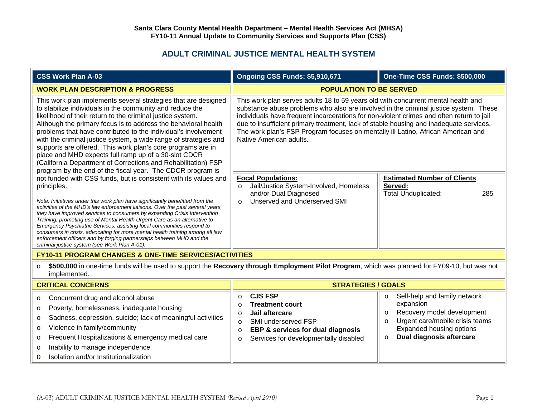# **ADULT CRIMINAL JUSTICE MENTAL HEALTH SYSTEM**

| <b>CSS Work Plan A-03</b>                                                                                                                                                                                                                                                                                                                                                                                                                                                                                                                                                                                                                                                                        | Ongoing CSS Funds: \$5,910,671                                                                                                                                                                                                                                                                                                                                                                                                                                                 | One-Time CSS Funds: \$500,000                                                                                                                                                                                  |  |
|--------------------------------------------------------------------------------------------------------------------------------------------------------------------------------------------------------------------------------------------------------------------------------------------------------------------------------------------------------------------------------------------------------------------------------------------------------------------------------------------------------------------------------------------------------------------------------------------------------------------------------------------------------------------------------------------------|--------------------------------------------------------------------------------------------------------------------------------------------------------------------------------------------------------------------------------------------------------------------------------------------------------------------------------------------------------------------------------------------------------------------------------------------------------------------------------|----------------------------------------------------------------------------------------------------------------------------------------------------------------------------------------------------------------|--|
| <b>WORK PLAN DESCRIPTION &amp; PROGRESS</b>                                                                                                                                                                                                                                                                                                                                                                                                                                                                                                                                                                                                                                                      | <b>POPULATION TO BE SERVED</b>                                                                                                                                                                                                                                                                                                                                                                                                                                                 |                                                                                                                                                                                                                |  |
| This work plan implements several strategies that are designed<br>to stabilize individuals in the community and reduce the<br>likelihood of their return to the criminal justice system.<br>Although the primary focus is to address the behavioral health<br>problems that have contributed to the individual's involvement<br>with the criminal justice system, a wide range of strategies and<br>supports are offered. This work plan's core programs are in<br>place and MHD expects full ramp up of a 30-slot CDCR<br>(California Department of Corrections and Rehabilitation) FSP<br>program by the end of the fiscal year. The CDCR program is                                           | This work plan serves adults 18 to 59 years old with concurrent mental health and<br>substance abuse problems who also are involved in the criminal justice system. These<br>individuals have frequent incarcerations for non-violent crimes and often return to jail<br>due to insufficient primary treatment, lack of stable housing and inadequate services.<br>The work plan's FSP Program focuses on mentally ill Latino, African American and<br>Native American adults. |                                                                                                                                                                                                                |  |
| not funded with CSS funds, but is consistent with its values and<br>principles.<br>Note: Initiatives under this work plan have significantly benefitted from the<br>activities of the MHD's law enforcement liaisons. Over the past several years,<br>they have improved services to consumers by expanding Crisis Intervention<br>Training, promoting use of Mental Health Urgent Care as an alternative to<br>Emergency Psychiatric Services, assisting local communities respond to<br>consumers in crisis, advocating for more mental health training among all law<br>enforcement officers and by forging partnerships between MHD and the<br>criminal justice system (see Work Plan A-01). | <b>Focal Populations:</b><br>Jail/Justice System-Involved, Homeless<br>$\Omega$<br>and/or Dual Diagnosed<br>Unserved and Underserved SMI<br>$\Omega$                                                                                                                                                                                                                                                                                                                           | <b>Estimated Number of Clients</b><br>Served:<br>Total Unduplicated:<br>285                                                                                                                                    |  |
| <b>FY10-11 PROGRAM CHANGES &amp; ONE-TIME SERVICES/ACTIVITIES</b>                                                                                                                                                                                                                                                                                                                                                                                                                                                                                                                                                                                                                                |                                                                                                                                                                                                                                                                                                                                                                                                                                                                                |                                                                                                                                                                                                                |  |
| \$500,000 in one-time funds will be used to support the Recovery through Employment Pilot Program, which was planned for FY09-10, but was not<br>$\circ$<br>implemented.                                                                                                                                                                                                                                                                                                                                                                                                                                                                                                                         |                                                                                                                                                                                                                                                                                                                                                                                                                                                                                |                                                                                                                                                                                                                |  |
| <b>CRITICAL CONCERNS</b>                                                                                                                                                                                                                                                                                                                                                                                                                                                                                                                                                                                                                                                                         | <b>STRATEGIES / GOALS</b>                                                                                                                                                                                                                                                                                                                                                                                                                                                      |                                                                                                                                                                                                                |  |
| Concurrent drug and alcohol abuse<br>$\circ$<br>Poverty, homelessness, inadequate housing<br>O<br>Sadness, depression, suicide; lack of meaningful activities<br>$\circ$<br>Violence in family/community<br>$\circ$<br>Frequent Hospitalizations & emergency medical care<br>O<br>Inability to manage independence<br>O<br>Isolation and/or Institutionalization<br>$\Omega$                                                                                                                                                                                                                                                                                                                     | <b>CJS FSP</b><br>$\circ$<br><b>Treatment court</b><br>$\circ$<br>Jail aftercare<br>$\circ$<br>SMI underserved FSP<br>$\circ$<br><b>EBP &amp; services for dual diagnosis</b><br>$\circ$<br>Services for developmentally disabled<br>$\circ$                                                                                                                                                                                                                                   | Self-help and family network<br>$\circ$<br>expansion<br>Recovery model development<br>$\circ$<br>Urgent care/mobile crisis teams<br>$\circ$<br>Expanded housing options<br>Dual diagnosis aftercare<br>$\circ$ |  |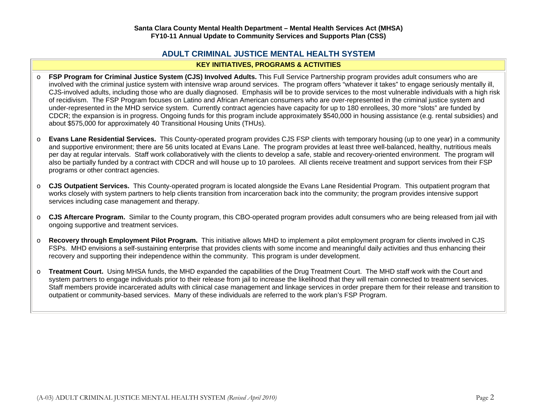### **ADULT CRIMINAL JUSTICE MENTAL HEALTH SYSTEM KEY INITIATIVES, PROGRAMS & ACTIVITIES**

- o **FSP Program for Criminal Justice System (CJS) Involved Adults.** This Full Service Partnership program provides adult consumers who are involved with the criminal justice system with intensive wrap around services. The program offers "whatever it takes" to engage seriously mentally ill, CJS-involved adults, including those who are dually diagnosed. Emphasis will be to provide services to the most vulnerable individuals with a high risk of recidivism. The FSP Program focuses on Latino and African American consumers who are over-represented in the criminal justice system and under-represented in the MHD service system. Currently contract agencies have capacity for up to 180 enrollees, 30 more "slots" are funded by CDCR; the expansion is in progress. Ongoing funds for this program include approximately \$540,000 in housing assistance (e.g. rental subsidies) and about \$575,000 for approximately 40 Transitional Housing Units (THUs).
- o **Evans Lane Residential Services.** This County-operated program provides CJS FSP clients with temporary housing (up to one year) in a community and supportive environment; there are 56 units located at Evans Lane. The program provides at least three well-balanced, healthy, nutritious meals per day at regular intervals. Staff work collaboratively with the clients to develop a safe, stable and recovery-oriented environment. The program will also be partially funded by a contract with CDCR and will house up to 10 parolees. All clients receive treatment and support services from their FSP programs or other contract agencies.
- o **CJS Outpatient Services.** This County-operated program is located alongside the Evans Lane Residential Program. This outpatient program that works closely with system partners to help clients transition from incarceration back into the community; the program provides intensive support services including case management and therapy.
- o **CJS Aftercare Program.** Similar to the County program, this CBO-operated program provides adult consumers who are being released from jail with ongoing supportive and treatment services.
- o **Recovery through Employment Pilot Program.** This initiative allows MHD to implement a pilot employment program for clients involved in CJS FSPs. MHD envisions a self-sustaining enterprise that provides clients with some income and meaningful daily activities and thus enhancing their recovery and supporting their independence within the community. This program is under development.
- o **Treatment Court.** Using MHSA funds, the MHD expanded the capabilities of the Drug Treatment Court. The MHD staff work with the Court and system partners to engage individuals prior to their release from jail to increase the likelihood that they will remain connected to treatment services. Staff members provide incarcerated adults with clinical case management and linkage services in order prepare them for their release and transition to outpatient or community-based services. Many of these individuals are referred to the work plan's FSP Program.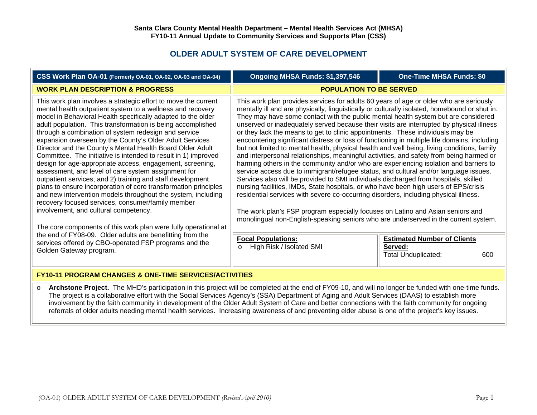# **OLDER ADULT SYSTEM OF CARE DEVELOPMENT**

| CSS Work Plan OA-01 (Formerly OA-01, OA-02, OA-03 and OA-04)                                                                                                                                                                                                                                                                                                                                                                                                                                                                                                                                                                                                                                                                                                                                                                                                                                                                                                                                                                                                                                                                                         | Ongoing MHSA Funds: \$1,397,546                                                                                                                                                                                                                                                                                                                                                                                                                                                                                                                                                                                                                                                                                                                                                                                                                                                                                                                                                                                                                                                                                                                                                                                                                                                                                                                                                                                                                                                                                                                    | <b>One-Time MHSA Funds: \$0</b> |
|------------------------------------------------------------------------------------------------------------------------------------------------------------------------------------------------------------------------------------------------------------------------------------------------------------------------------------------------------------------------------------------------------------------------------------------------------------------------------------------------------------------------------------------------------------------------------------------------------------------------------------------------------------------------------------------------------------------------------------------------------------------------------------------------------------------------------------------------------------------------------------------------------------------------------------------------------------------------------------------------------------------------------------------------------------------------------------------------------------------------------------------------------|----------------------------------------------------------------------------------------------------------------------------------------------------------------------------------------------------------------------------------------------------------------------------------------------------------------------------------------------------------------------------------------------------------------------------------------------------------------------------------------------------------------------------------------------------------------------------------------------------------------------------------------------------------------------------------------------------------------------------------------------------------------------------------------------------------------------------------------------------------------------------------------------------------------------------------------------------------------------------------------------------------------------------------------------------------------------------------------------------------------------------------------------------------------------------------------------------------------------------------------------------------------------------------------------------------------------------------------------------------------------------------------------------------------------------------------------------------------------------------------------------------------------------------------------------|---------------------------------|
| <b>WORK PLAN DESCRIPTION &amp; PROGRESS</b>                                                                                                                                                                                                                                                                                                                                                                                                                                                                                                                                                                                                                                                                                                                                                                                                                                                                                                                                                                                                                                                                                                          | <b>POPULATION TO BE SERVED</b>                                                                                                                                                                                                                                                                                                                                                                                                                                                                                                                                                                                                                                                                                                                                                                                                                                                                                                                                                                                                                                                                                                                                                                                                                                                                                                                                                                                                                                                                                                                     |                                 |
| This work plan involves a strategic effort to move the current<br>mental health outpatient system to a wellness and recovery<br>model in Behavioral Health specifically adapted to the older<br>adult population. This transformation is being accomplished<br>through a combination of system redesign and service<br>expansion overseen by the County's Older Adult Services<br>Director and the County's Mental Health Board Older Adult<br>Committee. The initiative is intended to result in 1) improved<br>design for age-appropriate access, engagement, screening,<br>assessment, and level of care system assignment for<br>outpatient services, and 2) training and staff development<br>plans to ensure incorporation of core transformation principles<br>and new intervention models throughout the system, including<br>recovery focused services, consumer/family member<br>involvement, and cultural competency.<br>The core components of this work plan were fully operational at<br>the end of FY08-09. Older adults are benefitting from the<br>services offered by CBO-operated FSP programs and the<br>Golden Gateway program. | This work plan provides services for adults 60 years of age or older who are seriously<br>mentally ill and are physically, linguistically or culturally isolated, homebound or shut in.<br>They may have some contact with the public mental health system but are considered<br>unserved or inadequately served because their visits are interrupted by physical illness<br>or they lack the means to get to clinic appointments. These individuals may be<br>encountering significant distress or loss of functioning in multiple life domains, including<br>but not limited to mental health, physical health and well being, living conditions, family<br>and interpersonal relationships, meaningful activities, and safety from being harmed or<br>harming others in the community and/or who are experiencing isolation and barriers to<br>service access due to immigrant/refugee status, and cultural and/or language issues.<br>Services also will be provided to SMI individuals discharged from hospitals, skilled<br>nursing facilities, IMDs, State hospitals, or who have been high users of EPS/crisis<br>residential services with severe co-occurring disorders, including physical illness.<br>The work plan's FSP program especially focuses on Latino and Asian seniors and<br>monolingual non-English-speaking seniors who are underserved in the current system.<br><b>Focal Populations:</b><br><b>Estimated Number of Clients</b><br>High Risk / Isolated SMI<br>Served:<br>$\Omega$<br><b>Total Unduplicated:</b><br>600 |                                 |
| <b>FY10-11 PROGRAM CHANGES &amp; ONE-TIME SERVICES/ACTIVITIES</b>                                                                                                                                                                                                                                                                                                                                                                                                                                                                                                                                                                                                                                                                                                                                                                                                                                                                                                                                                                                                                                                                                    |                                                                                                                                                                                                                                                                                                                                                                                                                                                                                                                                                                                                                                                                                                                                                                                                                                                                                                                                                                                                                                                                                                                                                                                                                                                                                                                                                                                                                                                                                                                                                    |                                 |

o **Archstone Project.** The MHD's participation in this project will be completed at the end of FY09-10, and will no longer be funded with one-time funds. The project is a collaborative effort with the Social Services Agency's (SSA) Department of Aging and Adult Services (DAAS) to establish more involvement by the faith community in development of the Older Adult System of Care and better connections with the faith community for ongoing referrals of older adults needing mental health services. Increasing awareness of and preventing elder abuse is one of the project's key issues.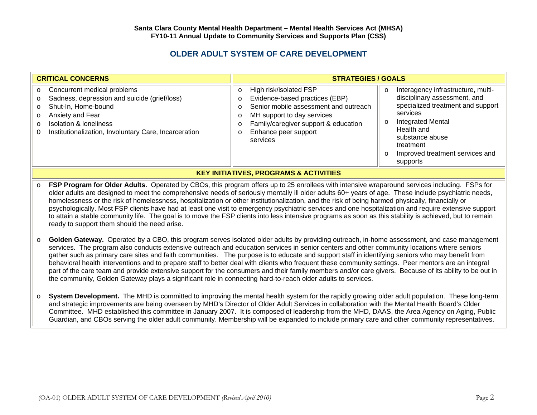# **OLDER ADULT SYSTEM OF CARE DEVELOPMENT**

| <b>CRITICAL CONCERNS</b>                                                                                                                                                                                                                                                       | <b>STRATEGIES / GOALS</b>                                                                                                                                                                                                                                    |                                                                                                                                                                                                                                                         |
|--------------------------------------------------------------------------------------------------------------------------------------------------------------------------------------------------------------------------------------------------------------------------------|--------------------------------------------------------------------------------------------------------------------------------------------------------------------------------------------------------------------------------------------------------------|---------------------------------------------------------------------------------------------------------------------------------------------------------------------------------------------------------------------------------------------------------|
| o Concurrent medical problems<br>Sadness, depression and suicide (grief/loss)<br>$\circ$<br>Shut-In, Home-bound<br>$\circ$<br>Anxiety and Fear<br>$\circ$<br><b>Isolation &amp; loneliness</b><br>$\circ$<br>Institutionalization, Involuntary Care, Incarceration<br>$\Omega$ | High risk/isolated FSP<br>$\circ$<br>Evidence-based practices (EBP)<br>O<br>Senior mobile assessment and outreach<br>$\Omega$<br>MH support to day services<br>O<br>Family/caregiver support & education<br>O<br>Enhance peer support<br>$\circ$<br>services | Interagency infrastructure, multi-<br>disciplinary assessment, and<br>specialized treatment and support<br>services<br><b>Integrated Mental</b><br>Health and<br>substance abuse<br>treatment<br>Improved treatment services and<br>$\circ$<br>supports |
| <b>KEY INITIATIVES, PROGRAMS &amp; ACTIVITIES</b>                                                                                                                                                                                                                              |                                                                                                                                                                                                                                                              |                                                                                                                                                                                                                                                         |

o **FSP Program for Older Adults.** Operated by CBOs, this program offers up to 25 enrollees with intensive wraparound services including. FSPs for older adults are designed to meet the comprehensive needs of seriously mentally ill older adults 60+ years of age. These include psychiatric needs, homelessness or the risk of homelessness, hospitalization or other institutionalization, and the risk of being harmed physically, financially or psychologically. Most FSP clients have had at least one visit to emergency psychiatric services and one hospitalization and require extensive support to attain a stable community life. The goal is to move the FSP clients into less intensive programs as soon as this stability is achieved, but to remain ready to support them should the need arise.

- o **Golden Gateway.** Operated by a CBO, this program serves isolated older adults by providing outreach, in-home assessment, and case management services. The program also conducts extensive outreach and education services in senior centers and other community locations where seniors gather such as primary care sites and faith communities. The purpose is to educate and support staff in identifying seniors who may benefit from behavioral health interventions and to prepare staff to better deal with clients who frequent these community settings. Peer mentors are an integral part of the care team and provide extensive support for the consumers and their family members and/or care givers. Because of its ability to be out in the community, Golden Gateway plays a significant role in connecting hard-to-reach older adults to services.
- o **System Development.** The MHD is committed to improving the mental health system for the rapidly growing older adult population. These long-term and strategic improvements are being overseen by MHD's Director of Older Adult Services in collaboration with the Mental Health Board's Older Committee. MHD established this committee in January 2007. It is composed of leadership from the MHD, DAAS, the Area Agency on Aging, Public Guardian, and CBOs serving the older adult community. Membership will be expanded to include primary care and other community representatives.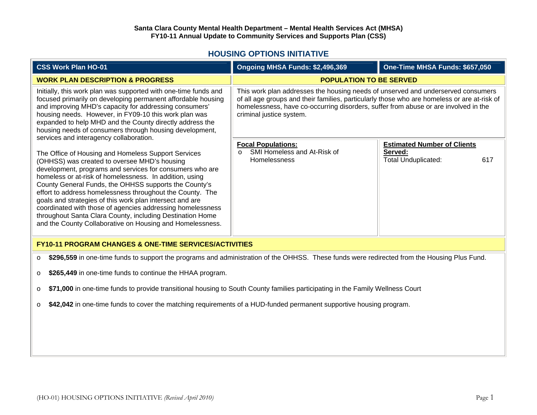## **HOUSING OPTIONS INITIATIVE**

| <b>CSS Work Plan HO-01</b>                                                                                                                                                                                                                                                                                                                                                                                                                                                                                                                                                                           | Ongoing MHSA Funds: \$2,496,369                                                                                                                                                                                                                                                                    | One-Time MHSA Funds: \$657,050                                                     |
|------------------------------------------------------------------------------------------------------------------------------------------------------------------------------------------------------------------------------------------------------------------------------------------------------------------------------------------------------------------------------------------------------------------------------------------------------------------------------------------------------------------------------------------------------------------------------------------------------|----------------------------------------------------------------------------------------------------------------------------------------------------------------------------------------------------------------------------------------------------------------------------------------------------|------------------------------------------------------------------------------------|
| <b>WORK PLAN DESCRIPTION &amp; PROGRESS</b>                                                                                                                                                                                                                                                                                                                                                                                                                                                                                                                                                          | <b>POPULATION TO BE SERVED</b>                                                                                                                                                                                                                                                                     |                                                                                    |
| Initially, this work plan was supported with one-time funds and<br>focused primarily on developing permanent affordable housing<br>and improving MHD's capacity for addressing consumers'<br>housing needs. However, in FY09-10 this work plan was<br>expanded to help MHD and the County directly address the<br>housing needs of consumers through housing development,<br>services and interagency collaboration.                                                                                                                                                                                 | This work plan addresses the housing needs of unserved and underserved consumers<br>of all age groups and their families, particularly those who are homeless or are at-risk of<br>homelessness, have co-occurring disorders, suffer from abuse or are involved in the<br>criminal justice system. |                                                                                    |
| The Office of Housing and Homeless Support Services<br>(OHHSS) was created to oversee MHD's housing<br>development, programs and services for consumers who are<br>homeless or at-risk of homelessness. In addition, using<br>County General Funds, the OHHSS supports the County's<br>effort to address homelessness throughout the County. The<br>goals and strategies of this work plan intersect and are<br>coordinated with those of agencies addressing homelessness<br>throughout Santa Clara County, including Destination Home<br>and the County Collaborative on Housing and Homelessness. | <b>Focal Populations:</b><br>SMI Homeless and At-Risk of<br><b>Homelessness</b>                                                                                                                                                                                                                    | <b>Estimated Number of Clients</b><br>Served:<br><b>Total Unduplicated:</b><br>617 |
| <b>FY10-11 PROGRAM CHANGES &amp; ONE-TIME SERVICES/ACTIVITIES</b>                                                                                                                                                                                                                                                                                                                                                                                                                                                                                                                                    |                                                                                                                                                                                                                                                                                                    |                                                                                    |
| \$296,559 in one-time funds to support the programs and administration of the OHHSS. These funds were redirected from the Housing Plus Fund.<br>$\circ$                                                                                                                                                                                                                                                                                                                                                                                                                                              |                                                                                                                                                                                                                                                                                                    |                                                                                    |
| \$265,449 in one-time funds to continue the HHAA program.<br>$\circ$                                                                                                                                                                                                                                                                                                                                                                                                                                                                                                                                 |                                                                                                                                                                                                                                                                                                    |                                                                                    |
| \$71,000 in one-time funds to provide transitional housing to South County families participating in the Family Wellness Court<br>$\circ$                                                                                                                                                                                                                                                                                                                                                                                                                                                            |                                                                                                                                                                                                                                                                                                    |                                                                                    |
| \$42,042 in one-time funds to cover the matching requirements of a HUD-funded permanent supportive housing program.<br>$\circ$                                                                                                                                                                                                                                                                                                                                                                                                                                                                       |                                                                                                                                                                                                                                                                                                    |                                                                                    |
|                                                                                                                                                                                                                                                                                                                                                                                                                                                                                                                                                                                                      |                                                                                                                                                                                                                                                                                                    |                                                                                    |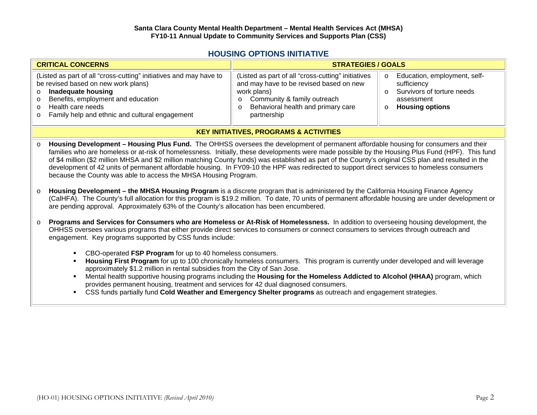### **HOUSING OPTIONS INITIATIVE**

| <b>CRITICAL CONCERNS</b>                                                                                                                                                                                                                             | <b>STRATEGIES / GOALS</b>                                                                                                                                                                                              |                                                                                                                              |
|------------------------------------------------------------------------------------------------------------------------------------------------------------------------------------------------------------------------------------------------------|------------------------------------------------------------------------------------------------------------------------------------------------------------------------------------------------------------------------|------------------------------------------------------------------------------------------------------------------------------|
| (Listed as part of all "cross-cutting" initiatives and may have to<br>be revised based on new work plans)<br>o Inadequate housing<br>o Benefits, employment and education<br>o Health care needs<br>o Family help and ethnic and cultural engagement | (Listed as part of all "cross-cutting" initiatives<br>and may have to be revised based on new<br>work plans)<br>Community & family outreach<br>$\circ$<br>Behavioral health and primary care<br>$\circ$<br>partnership | Education, employment, self-<br>$\circ$<br>sufficiency<br>Survivors of torture needs<br>assessment<br><b>Housing options</b> |
| <b>KEY INITIATIVES, PROGRAMS &amp; ACTIVITIES</b>                                                                                                                                                                                                    |                                                                                                                                                                                                                        |                                                                                                                              |

- o **Housing Development – Housing Plus Fund.** The OHHSS oversees the development of permanent affordable housing for consumers and their families who are homeless or at-risk of homelessness. Initially, these developments were made possible by the Housing Plus Fund (HPF). This fund of \$4 million (\$2 million MHSA and \$2 million matching County funds) was established as part of the County's original CSS plan and resulted in the development of 42 units of permanent affordable housing. In FY09-10 the HPF was redirected to support direct services to homeless consumers because the County was able to access the MHSA Housing Program.
- o **Housing Development – the MHSA Housing Program** is a discrete program that is administered by the California Housing Finance Agency (CalHFA). The County's full allocation for this program is \$19.2 million. To date, 70 units of permanent affordable housing are under development or are pending approval. Approximately 63% of the County's allocation has been encumbered.
- o **Programs and Services for Consumers who are Homeless or At-Risk of Homelessness.** In addition to overseeing housing development, the OHHSS oversees various programs that either provide direct services to consumers or connect consumers to services through outreach and engagement. Key programs supported by CSS funds include:
	- CBO-operated **FSP Program** for up to 40 homeless consumers.
	- **Housing First Program** for up to 100 chronically homeless consumers. This program is currently under developed and will leverage approximately \$1.2 million in rental subsidies from the City of San Jose.
	- Mental health supportive housing programs including the **Housing for the Homeless Addicted to Alcohol (HHAA)** program, which provides permanent housing, treatment and services for 42 dual diagnosed consumers.
	- CSS funds partially fund **Cold Weather and Emergency Shelter programs** as outreach and engagement strategies.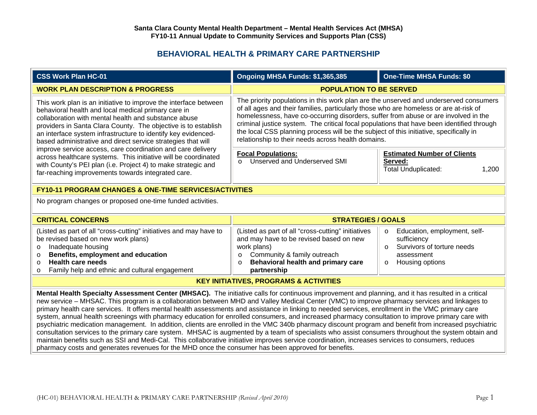# **BEHAVIORAL HEALTH & PRIMARY CARE PARTNERSHIP**

| <b>CSS Work Plan HC-01</b>                                                                                                                                                                                                                                                                                                                                                                                                                                                                                                                                                                                                                                                                                                                                                                                                                                                                                                                                                                                                                                                          | Ongoing MHSA Funds: \$1,365,385                                                                                                                                                                                                                                                                                                                                                                                                                                                                                    | <b>One-Time MHSA Funds: \$0</b>                                                                                                              |
|-------------------------------------------------------------------------------------------------------------------------------------------------------------------------------------------------------------------------------------------------------------------------------------------------------------------------------------------------------------------------------------------------------------------------------------------------------------------------------------------------------------------------------------------------------------------------------------------------------------------------------------------------------------------------------------------------------------------------------------------------------------------------------------------------------------------------------------------------------------------------------------------------------------------------------------------------------------------------------------------------------------------------------------------------------------------------------------|--------------------------------------------------------------------------------------------------------------------------------------------------------------------------------------------------------------------------------------------------------------------------------------------------------------------------------------------------------------------------------------------------------------------------------------------------------------------------------------------------------------------|----------------------------------------------------------------------------------------------------------------------------------------------|
| <b>WORK PLAN DESCRIPTION &amp; PROGRESS</b>                                                                                                                                                                                                                                                                                                                                                                                                                                                                                                                                                                                                                                                                                                                                                                                                                                                                                                                                                                                                                                         | <b>POPULATION TO BE SERVED</b>                                                                                                                                                                                                                                                                                                                                                                                                                                                                                     |                                                                                                                                              |
| This work plan is an initiative to improve the interface between<br>behavioral health and local medical primary care in<br>collaboration with mental health and substance abuse<br>providers in Santa Clara County. The objective is to establish<br>an interface system infrastructure to identify key evidenced-<br>based administrative and direct service strategies that will                                                                                                                                                                                                                                                                                                                                                                                                                                                                                                                                                                                                                                                                                                  | The priority populations in this work plan are the unserved and underserved consumers<br>of all ages and their families, particularly those who are homeless or are at-risk of<br>homelessness, have co-occurring disorders, suffer from abuse or are involved in the<br>criminal justice system. The critical focal populations that have been identified through<br>the local CSS planning process will be the subject of this initiative, specifically in<br>relationship to their needs across health domains. |                                                                                                                                              |
| improve service access, care coordination and care delivery<br>across healthcare systems. This initiative will be coordinated<br>with County's PEI plan (i.e. Project 4) to make strategic and<br>far-reaching improvements towards integrated care.                                                                                                                                                                                                                                                                                                                                                                                                                                                                                                                                                                                                                                                                                                                                                                                                                                | <b>Focal Populations:</b><br>Unserved and Underserved SMI<br>$\circ$                                                                                                                                                                                                                                                                                                                                                                                                                                               | <b>Estimated Number of Clients</b><br>Served:<br><b>Total Unduplicated:</b><br>1,200                                                         |
| <b>FY10-11 PROGRAM CHANGES &amp; ONE-TIME SERVICES/ACTIVITIES</b>                                                                                                                                                                                                                                                                                                                                                                                                                                                                                                                                                                                                                                                                                                                                                                                                                                                                                                                                                                                                                   |                                                                                                                                                                                                                                                                                                                                                                                                                                                                                                                    |                                                                                                                                              |
| No program changes or proposed one-time funded activities.                                                                                                                                                                                                                                                                                                                                                                                                                                                                                                                                                                                                                                                                                                                                                                                                                                                                                                                                                                                                                          |                                                                                                                                                                                                                                                                                                                                                                                                                                                                                                                    |                                                                                                                                              |
| <b>STRATEGIES / GOALS</b><br><b>CRITICAL CONCERNS</b>                                                                                                                                                                                                                                                                                                                                                                                                                                                                                                                                                                                                                                                                                                                                                                                                                                                                                                                                                                                                                               |                                                                                                                                                                                                                                                                                                                                                                                                                                                                                                                    |                                                                                                                                              |
| (Listed as part of all "cross-cutting" initiatives and may have to<br>be revised based on new work plans)<br>Inadequate housing<br>$\circ$<br>Benefits, employment and education<br>$\circ$<br><b>Health care needs</b><br>$\Omega$<br>Family help and ethnic and cultural engagement<br>$\circ$                                                                                                                                                                                                                                                                                                                                                                                                                                                                                                                                                                                                                                                                                                                                                                                    | (Listed as part of all "cross-cutting" initiatives<br>and may have to be revised based on new<br>work plans)<br>Community & family outreach<br>$\circ$<br>Behavioral health and primary care<br>$\Omega$<br>partnership                                                                                                                                                                                                                                                                                            | Education, employment, self-<br>$\circ$<br>sufficiency<br>Survivors of torture needs<br>$\Omega$<br>assessment<br>Housing options<br>$\circ$ |
| <b>KEY INITIATIVES, PROGRAMS &amp; ACTIVITIES</b>                                                                                                                                                                                                                                                                                                                                                                                                                                                                                                                                                                                                                                                                                                                                                                                                                                                                                                                                                                                                                                   |                                                                                                                                                                                                                                                                                                                                                                                                                                                                                                                    |                                                                                                                                              |
| Mental Health Specialty Assessment Center (MHSAC). The initiative calls for continuous improvement and planning, and it has resulted in a critical<br>new service - MHSAC. This program is a collaboration between MHD and Valley Medical Center (VMC) to improve pharmacy services and linkages to<br>primary health care services. It offers mental health assessments and assistance in linking to needed services, enrollment in the VMC primary care<br>system, annual health screenings with pharmacy education for enrolled consumers, and increased pharmacy consultation to improve primary care with<br>psychiatric medication management. In addition, clients are enrolled in the VMC 340b pharmacy discount program and benefit from increased psychiatric<br>consultation services to the primary care system. MHSAC is augmented by a team of specialists who assist consumers throughout the system obtain and<br>maintain benefits such as SSI and Medi-Cal. This collaborative initiative improves service coordination, increases services to consumers, reduces |                                                                                                                                                                                                                                                                                                                                                                                                                                                                                                                    |                                                                                                                                              |

pharmacy costs and generates revenues for the MHD once the consumer has been approved for benefits.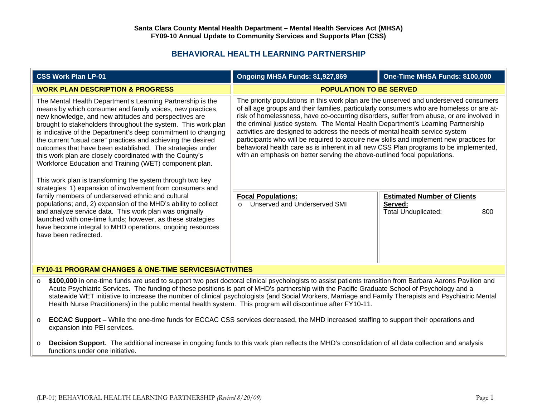## **BEHAVIORAL HEALTH LEARNING PARTNERSHIP**

| <b>CSS Work Plan LP-01</b>                                                                                                                                                                                                                                                                                                                                                                                                                                                                                                                                                                                                                                                                                                                                                                                                                                                                                                                                                                                                             | Ongoing MHSA Funds: \$1,927,869                                                                                                                                                                                                                                                                                                                                                                                                                                                                                                                                                                                                                                                                                   | One-Time MHSA Funds: \$100,000                                              |
|----------------------------------------------------------------------------------------------------------------------------------------------------------------------------------------------------------------------------------------------------------------------------------------------------------------------------------------------------------------------------------------------------------------------------------------------------------------------------------------------------------------------------------------------------------------------------------------------------------------------------------------------------------------------------------------------------------------------------------------------------------------------------------------------------------------------------------------------------------------------------------------------------------------------------------------------------------------------------------------------------------------------------------------|-------------------------------------------------------------------------------------------------------------------------------------------------------------------------------------------------------------------------------------------------------------------------------------------------------------------------------------------------------------------------------------------------------------------------------------------------------------------------------------------------------------------------------------------------------------------------------------------------------------------------------------------------------------------------------------------------------------------|-----------------------------------------------------------------------------|
| <b>WORK PLAN DESCRIPTION &amp; PROGRESS</b>                                                                                                                                                                                                                                                                                                                                                                                                                                                                                                                                                                                                                                                                                                                                                                                                                                                                                                                                                                                            | <b>POPULATION TO BE SERVED</b>                                                                                                                                                                                                                                                                                                                                                                                                                                                                                                                                                                                                                                                                                    |                                                                             |
| The Mental Health Department's Learning Partnership is the<br>means by which consumer and family voices, new practices,<br>new knowledge, and new attitudes and perspectives are<br>brought to stakeholders throughout the system. This work plan<br>is indicative of the Department's deep commitment to changing<br>the current "usual care" practices and achieving the desired<br>outcomes that have been established. The strategies under<br>this work plan are closely coordinated with the County's<br>Workforce Education and Training (WET) component plan.<br>This work plan is transforming the system through two key<br>strategies: 1) expansion of involvement from consumers and<br>family members of underserved ethnic and cultural<br>populations; and, 2) expansion of the MHD's ability to collect<br>and analyze service data. This work plan was originally<br>launched with one-time funds; however, as these strategies<br>have become integral to MHD operations, ongoing resources<br>have been redirected. | The priority populations in this work plan are the unserved and underserved consumers<br>of all age groups and their families, particularly consumers who are homeless or are at-<br>risk of homelessness, have co-occurring disorders, suffer from abuse, or are involved in<br>the criminal justice system. The Mental Health Department's Learning Partnership<br>activities are designed to address the needs of mental health service system<br>participants who will be required to acquire new skills and implement new practices for<br>behavioral health care as is inherent in all new CSS Plan programs to be implemented,<br>with an emphasis on better serving the above-outlined focal populations. |                                                                             |
|                                                                                                                                                                                                                                                                                                                                                                                                                                                                                                                                                                                                                                                                                                                                                                                                                                                                                                                                                                                                                                        | <b>Focal Populations:</b><br>Unserved and Underserved SMI<br>$\Omega$                                                                                                                                                                                                                                                                                                                                                                                                                                                                                                                                                                                                                                             | <b>Estimated Number of Clients</b><br>Served:<br>Total Unduplicated:<br>800 |
| <b>FY10-11 PROGRAM CHANGES &amp; ONE-TIME SERVICES/ACTIVITIES</b>                                                                                                                                                                                                                                                                                                                                                                                                                                                                                                                                                                                                                                                                                                                                                                                                                                                                                                                                                                      |                                                                                                                                                                                                                                                                                                                                                                                                                                                                                                                                                                                                                                                                                                                   |                                                                             |

- o **\$100,000** in one-time funds are used to support two post doctoral clinical psychologists to assist patients transition from Barbara Aarons Pavilion and Acute Psychiatric Services. The funding of these positions is part of MHD's partnership with the Pacific Graduate School of Psychology and a statewide WET initiative to increase the number of clinical psychologists (and Social Workers, Marriage and Family Therapists and Psychiatric Mental Health Nurse Practitioners) in the public mental health system. This program will discontinue after FY10-11.
- o **ECCAC Support** – While the one-time funds for ECCAC CSS services decreased, the MHD increased staffing to support their operations and expansion into PEI services.
- o **Decision Support.** The additional increase in ongoing funds to this work plan reflects the MHD's consolidation of all data collection and analysis functions under one initiative.